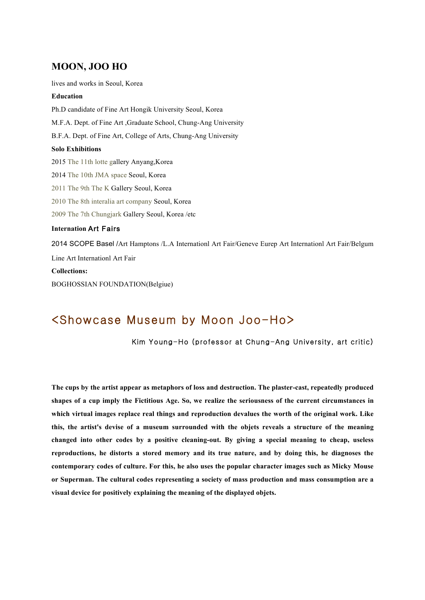## **MOON, JOO HO**

lives and works in Seoul, Korea

## **Education**

Ph.D candidate of Fine Art Hongik University Seoul, Korea M.F.A. Dept. of Fine Art ,Graduate School, Chung-Ang University B.F.A. Dept. of Fine Art, College of Arts, Chung-Ang University **Solo Exhibitions** 2015 The 11th lotte gallery Anyang,Korea 2014 The 10th JMA space Seoul, Korea 2011 The 9th The K Gallery Seoul, Korea 2010 The 8th interalia art company Seoul, Korea 2009 The 7th Chungjark Gallery Seoul, Korea /etc **Internation** Art Fairs 2014 SCOPE Basel /Art Hamptons /L.A Internationl Art Fair/Geneve Eurep Art Internationl Art Fair/Belgum Line Art Internationl Art Fair **Collections:**

BOGHOSSIAN FOUNDATION(Belgiue)

## <Showcase Museum by Moon Joo-Ho>

Kim Young-Ho (professor at Chung-Ang University, art critic)

**The cups by the artist appear as metaphors of loss and destruction. The plaster-cast, repeatedly produced shapes of a cup imply the Fictitious Age. So, we realize the seriousness of the current circumstances in which virtual images replace real things and reproduction devalues the worth of the original work. Like this, the artist's devise of a museum surrounded with the objets reveals a structure of the meaning changed into other codes by a positive cleaning-out. By giving a special meaning to cheap, useless reproductions, he distorts a stored memory and its true nature, and by doing this, he diagnoses the contemporary codes of culture. For this, he also uses the popular character images such as Micky Mouse or Superman. The cultural codes representing a society of mass production and mass consumption are a visual device for positively explaining the meaning of the displayed objets.**